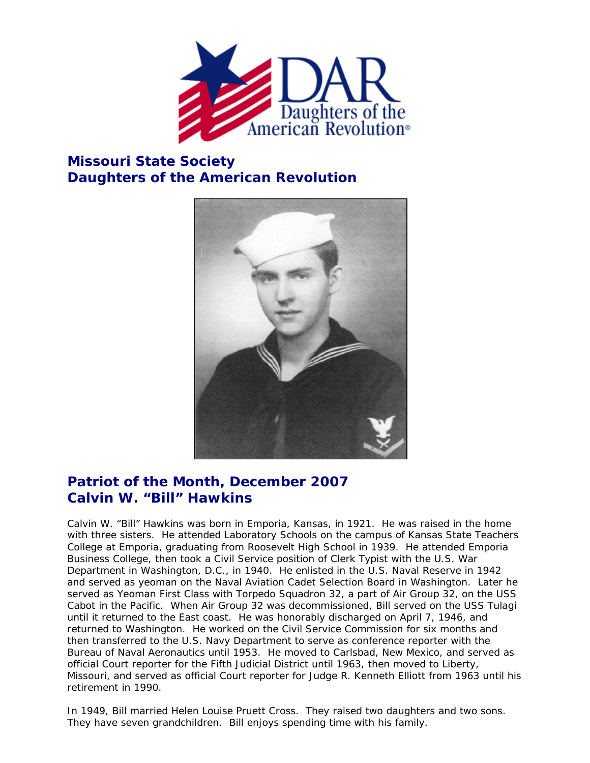

## **Missouri State Society Daughters of the American Revolution**



## **Patriot of the Month, December 2007 Calvin W. "Bill" Hawkins**

Calvin W. "Bill" Hawkins was born in Emporia, Kansas, in 1921. He was raised in the home with three sisters. He attended Laboratory Schools on the campus of Kansas State Teachers College at Emporia, graduating from Roosevelt High School in 1939. He attended Emporia Business College, then took a Civil Service position of Clerk Typist with the U.S. War Department in Washington, D.C., in 1940. He enlisted in the U.S. Naval Reserve in 1942 and served as yeoman on the Naval Aviation Cadet Selection Board in Washington. Later he served as Yeoman First Class with Torpedo Squadron 32, a part of Air Group 32, on the USS Cabot in the Pacific. When Air Group 32 was decommissioned, Bill served on the USS Tulagi until it returned to the East coast. He was honorably discharged on April 7, 1946, and returned to Washington. He worked on the Civil Service Commission for six months and then transferred to the U.S. Navy Department to serve as conference reporter with the Bureau of Naval Aeronautics until 1953. He moved to Carlsbad, New Mexico, and served as official Court reporter for the Fifth Judicial District until 1963, then moved to Liberty, Missouri, and served as official Court reporter for Judge R. Kenneth Elliott from 1963 until his retirement in 1990.

In 1949, Bill married Helen Louise Pruett Cross. They raised two daughters and two sons. They have seven grandchildren. Bill enjoys spending time with his family.